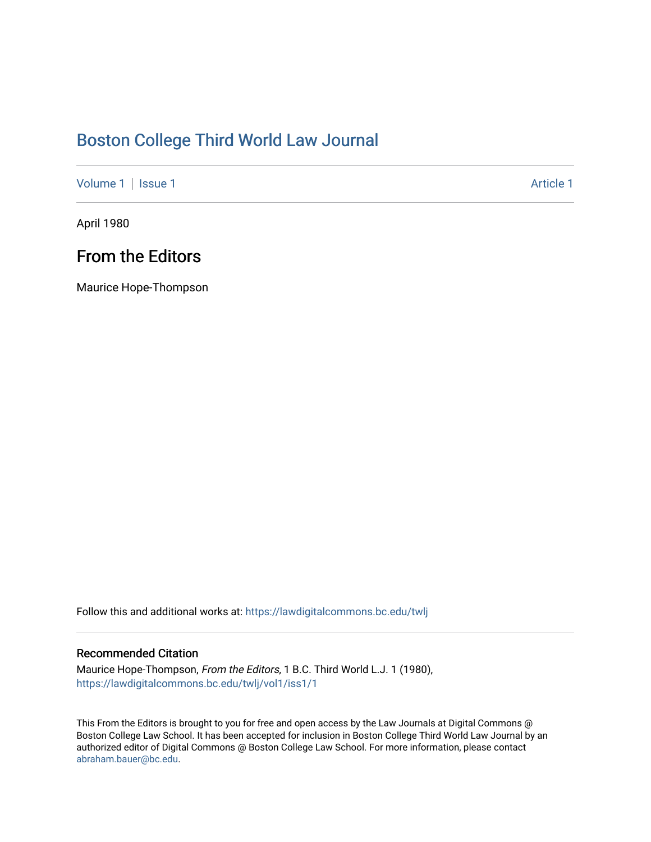#### [Boston College Third World Law Journal](https://lawdigitalcommons.bc.edu/twlj)

[Volume 1](https://lawdigitalcommons.bc.edu/twlj/vol1) | [Issue 1](https://lawdigitalcommons.bc.edu/twlj/vol1/iss1) Article 1

April 1980

#### From the Editors

Maurice Hope-Thompson

Follow this and additional works at: [https://lawdigitalcommons.bc.edu/twlj](https://lawdigitalcommons.bc.edu/twlj?utm_source=lawdigitalcommons.bc.edu%2Ftwlj%2Fvol1%2Fiss1%2F1&utm_medium=PDF&utm_campaign=PDFCoverPages) 

#### Recommended Citation

Maurice Hope-Thompson, From the Editors, 1 B.C. Third World L.J. 1 (1980), [https://lawdigitalcommons.bc.edu/twlj/vol1/iss1/1](https://lawdigitalcommons.bc.edu/twlj/vol1/iss1/1?utm_source=lawdigitalcommons.bc.edu%2Ftwlj%2Fvol1%2Fiss1%2F1&utm_medium=PDF&utm_campaign=PDFCoverPages) 

This From the Editors is brought to you for free and open access by the Law Journals at Digital Commons @ Boston College Law School. It has been accepted for inclusion in Boston College Third World Law Journal by an authorized editor of Digital Commons @ Boston College Law School. For more information, please contact [abraham.bauer@bc.edu.](mailto:abraham.bauer@bc.edu)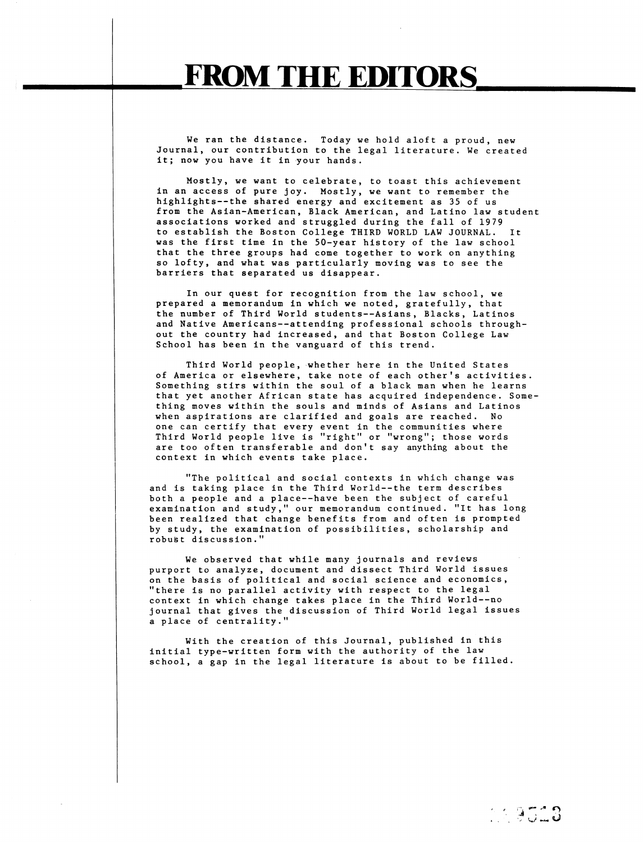We ran the distance. Today we hold aloft a proud, new Journal, our contribution to the legal literature. We created it; now you have it in your hands.

Mostly, we want to celebrate, to toast this achievement in an access of pure joy. Mostly, we want to remember the highlights--the shared energy and excitement as 35 of us from the Asian-American, Black American, and Latino law student associations worked and struggled during the fall of 1979 to establish the Boston College THIRD WORLD LAW JOURNAL. It was the first time in the 50-year history of the law school that the three groups had come together to work on anything so lofty, and what was particularly moving was to see the barriers that separated us disappear.

In our quest for recognition from the law school, we prepared a memorandum in which we noted, gratefully, that the number of Third World students--Asians, Blacks, Latinos and Native Americans--attending professional schools throughout the country had increased, and that Boston College Law School has been in the vanguard of this trend.

Third World people, whether here in the United States of America or elsewhere, take note of each other's activities. Something stirs within the soul of a black man when he learns that yet another African state has acquired independence. Something moves within the souls and minds of Asians and Latinos when aspirations are clarified and goals are reached. No one can certify that every event in the communities where Third World people live is "right" or "wrong"; those words are too often transferable and don't say anything about the context in which events take place.

"The political and social contexts in which change was and is taking place in the Third World--the term describes both a people and a place--have been the subject of careful examination and study," our memorandum continued. "It has long been realized that change benefits from and often is prompted by study, the examination of possibilities, scholarship and robust discussion."

We observed that while many journals and reviews purport to analyze, document and dissect Third World issues on the basis of political and social science and economics, "there is no parallel activity with respect to the legal context in which change takes place in the Third World--no journal that gives the discussion of Third World legal issues a place of centrality."

With the creation of this Journal, published in this initial type-written form with the authority of the law school, a gap in the legal literature is about to be filled.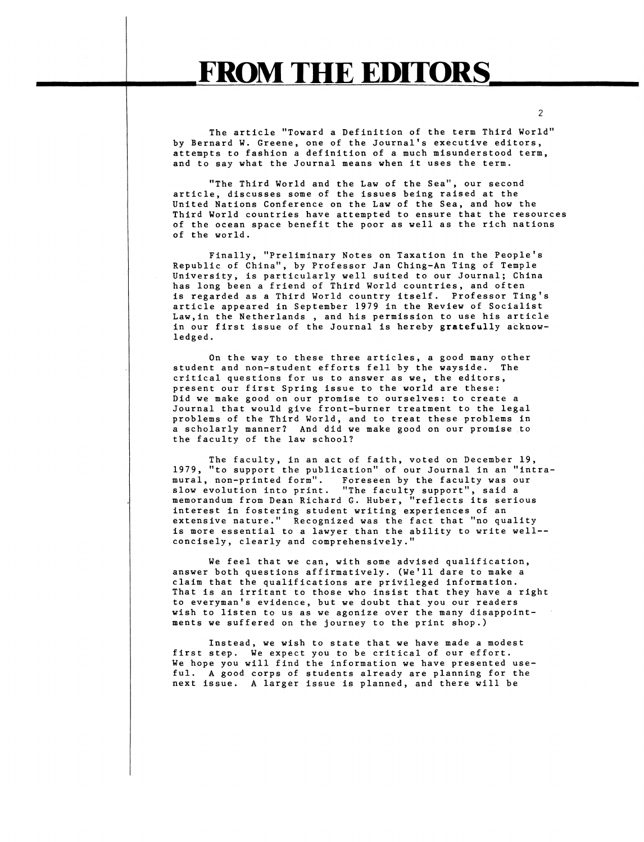The article "Toward a Definition of the term Third World" by Bernard W. Greene, one of the Journal's executive editors, attempts to fashion a definition of a much misunderstood term, and to say what the Journal means when it uses the term.

"The Third World and the Law of the Sea", our second article, discusses some of the issues being raised at the United Nations Conference on the Law of the Sea, and how the Third World countries have attempted to ensure that the resources of the ocean space benefit the poor as well as the rich nations of the world.

Finally, "Preliminary Notes on Taxation in the People's Republic of China", by Professor Jan Ching-An Ting of Temple University, is particularly well suited to our Journal; China has long been a friend of Third World countries, and often is regarded as a Third World country itself. Professor Ting's article appeared in September 1979 in the Review of Socialist Law,in the Netherlands, and his permission to use his article in our first issue of the Journal is hereby gratefully acknowledged.

On the way to these three articles, a good many other student and non-student efforts fell by the wayside. The critical questions for us to answer as we, the editors, present our first Spring issue to the world are these: .<br>Did we make good on our promise to ourselves: to create a Journal that would give front-burner treatment to the legal problems of the Third World, and to treat these problems in a scholarly manner? And did we make good on our promise to the faculty of the law school?

The faculty, in an act of faith, voted on December 19, 1979, "to support the publication" of our Journal in an "intramural, non-printed form". Foreseen by the faculty was our slow evolution into print. "The faculty support", said a memorandum from Dean Richard G. Huber, "reflects its serious interest in fostering student writing experiences of an extensive nature." Recognized was the fact that "no quality is more essential to a lawyer than the ability to write well- concisely, clearly and comprehensively."

We feel that we can, with some advised qualification, answer both questions affirmatively. (We'll dare to make a claim that the qualifications are privileged information. That is an irritant to those who insist that they have a right to everyman's evidence, but we doubt that you our readers wish to listen to us as we agonize over the many disappointments we suffered on the journey to the print shop.)

Instead, we wish to state that we have made a modest first step. We expect you to be critical of our effort. We hope you will find the information we have presented useful. A good corps of students already are planning for the next issue. A larger issue is planned, and there will be

 $\overline{2}$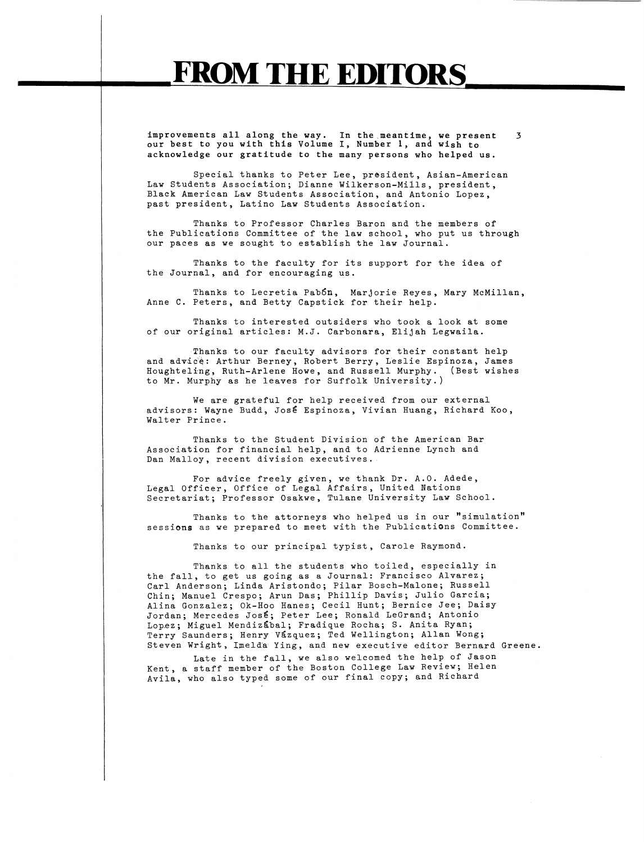improvements all along the way. In the.meantime, we present 3 our best to you with this Volume I, Number 1, and wish to acknowledge our gratitude to the many persons who helped us.

Special thanks to Peter Lee, president, Asian-American Law Students Association; Dianne Wilkerson-Mills, president, Black American Law Students Association, and Antonio Lopez, past president, Latino Law Students Association.

Thanks to Professor Charles Baron and the members of the Publications Committee of the law school, who put us through our paces as we sought to establish the law Journal.

Thanks to the faculty for its support for the idea of the Journal, and for encouraging us.

Thanks to Lecretia Pab5n, Marjorie Reyes, Mary McMillan, Anne C. Peters, and Betty Capstick for their help.

Thanks to interested outsiders who took a look at some of our original articles; M.J. Carbonara, Elijah Legwaila.

Thanks to our faculty advisors for their constant help and advice: Arthur Berney, Robert Berry, Leslie Espinoza, James Houghteling, Ruth-Arlene Howe, and Russell Murphy. (Best wishes to Mr. Murphy as he leaves for Suffolk University.)

We are grateful for help received from our external advisors: Wayne Budd, José Espinoza, Vivian Huang, Richard Koo, Walter Prince.

Thanks to the Student Division of the American Bar Association for financial help, and to Adrienne Lynch and Dan Malloy, recent division executives.

For advice freely given, we thank Dr. A.O. Adede, Legal Officer, Office of Legal Affairs, United Nations Secretariat; Professor Osakwe, Tulane University Law School.

Thanks to the attorneys who helped us in our "simulation" sessions as we prepared to meet with the Publications Committee.

Thanks to our principal typist, Carole Raymond.

Thanks to all the students who toiled, especially in the fall, to get us going as a Journal: Francisco Alvarez; Carl Anderson; Linda Aristondo; Pilar Bosch-Malone; Russell Chin; Manuel Crespo; Arun Das; Phillip Davis; Julio Garcia; Alina Gonzalez; Ok-Hoo Hanes; Cecil Hunt; Bernice Jee; Daisy Jordan; Mercedes José; Peter Lee; Ronald LeGrand; Antonio Lopez; Miguel Mendizabal; Fradique Rocha; S. Anita Ryan; Terry Saunders; Henry Vázquez; Ted Wellington; Allan Wong; Steven Wright, Imelda Ying, and new executive editor Bernard Greene.

Late in the fall, we also welcomed the help of Jason Kent, a staff member of the Boston College Law Review; Helen Avila, who also typed some of our final copy; and Richard